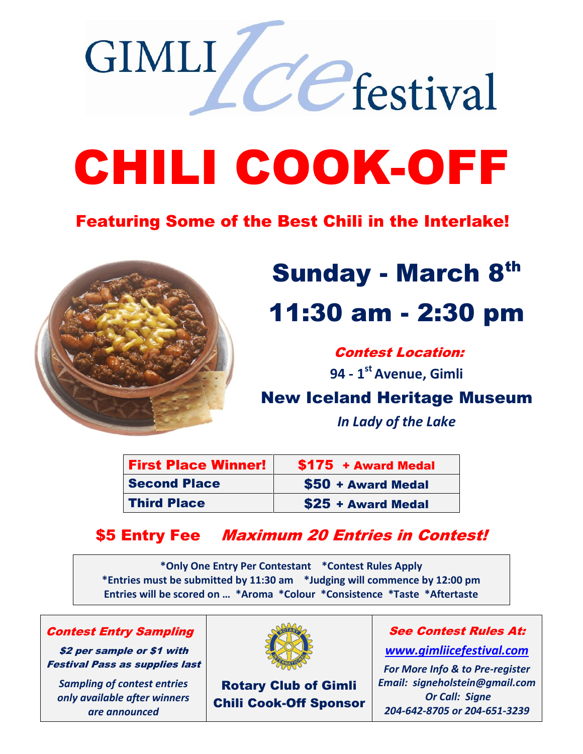# CHILI COOK-OFF

#### Featuring Some of the Best Chili in the Interlake!



**GIMLI** 

## **Sunday - March 8th** 11:30 am - 2:30 pm

LCCfestival

Contest Location:

**94 - 1 st Avenue, Gimli**

#### New Iceland Heritage Museum

*In Lady of the Lake*

| <b>First Place Winner!</b> | \$175 + Award Medal |
|----------------------------|---------------------|
| <b>Second Place</b>        | \$50 + Award Medal  |
| <b>Third Place</b>         | \$25 + Award Medal  |

#### \$5 Entry Fee Maximum 20 Entries in Contest!

**\*Only One Entry Per Contestant \*Contest Rules Apply \*Entries must be submitted by 11:30 am \*Judging will commence by 12:00 pm Entries will be scored on … \*Aroma \*Colour \*Consistence \*Taste \*Aftertaste**

Contest Entry Sampling

\$2 per sample or \$1 with Festival Pass as supplies last

*Sampling of contest entries only available after winners are announced*



Rotary Club of Gimli Chili Cook-Off Sponsor

#### See Contest Rules At:

*[www.gimliicefestival.com](http://www.gimliicefestival.com/)*

*For More Info & to Pre-register Email: signeholstein@gmail.com Or Call: Signe 204-642-8705 or 204-651-3239*